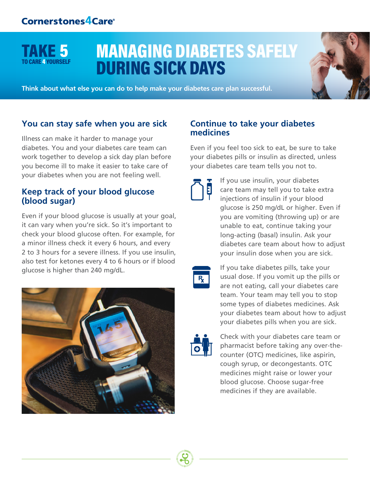TAKE 5

RE 4 YOURSELF

# MANAGING DIABETES SAFELY DURING SICK DAYS

**Think about what else you can do to help make your diabetes care plan successful.**

#### **You can stay safe when you are sick**

Illness can make it harder to manage your diabetes. You and your diabetes care team can work together to develop a sick day plan before you become ill to make it easier to take care of your diabetes when you are not feeling well.

#### **Keep track of your blood glucose (blood sugar)**

Even if your blood glucose is usually at your goal, it can vary when you're sick. So it's important to check your blood glucose often. For example, for a minor illness check it every 6 hours, and every 2 to 3 hours for a severe illness. If you use insulin, also test for ketones every 4 to 6 hours or if blood glucose is higher than 240 mg/dL.



#### **Continue to take your diabetes medicines**

Even if you feel too sick to eat, be sure to take your diabetes pills or insulin as directed, unless your diabetes care team tells you not to.



If you use insulin, your diabetes care team may tell you to take extra injections of insulin if your blood glucose is 250 mg/dL or higher. Even if you are vomiting (throwing up) or are unable to eat, continue taking your long-acting (basal) insulin. Ask your diabetes care team about how to adjust your insulin dose when you are sick.



If you take diabetes pills, take your usual dose. If you vomit up the pills or are not eating, call your diabetes care team. Your team may tell you to stop some types of diabetes medicines. Ask your diabetes team about how to adjust your diabetes pills when you are sick.



Check with your diabetes care team or pharmacist before taking any over-thecounter (OTC) medicines, like aspirin, cough syrup, or decongestants. OTC medicines might raise or lower your blood glucose. Choose sugar-free medicines if they are available.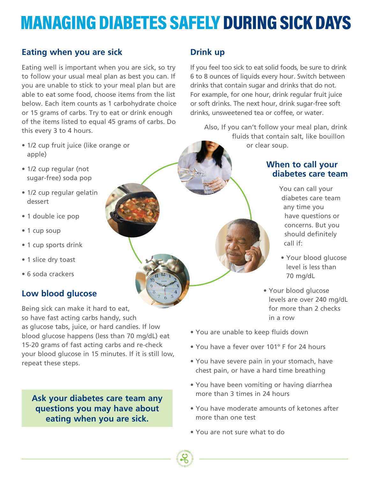# MANAGING DIABETES SAFELY DURING SICK DAYS

# **Eating when you are sick**

Eating well is important when you are sick, so try to follow your usual meal plan as best you can. If you are unable to stick to your meal plan but are able to eat some food, choose items from the list below. Each item counts as 1 carbohydrate choice or 15 grams of carbs. Try to eat or drink enough of the items listed to equal 45 grams of carbs. Do this every 3 to 4 hours.

- 1/2 cup fruit juice (like orange or apple)
- 1/2 cup regular (not sugar-free) soda pop
- 1/2 cup regular gelatin dessert
- 1 double ice pop
- 1 cup soup
- 1 cup sports drink
- 1 slice dry toast
- 6 soda crackers

# **Low blood glucose**

Being sick can make it hard to eat, so have fast acting carbs handy, such as glucose tabs, juice, or hard candies. If low blood glucose happens (less than 70 mg/dL) eat 15-20 grams of fast acting carbs and re-check your blood glucose in 15 minutes. If it is still low, repeat these steps.

**Ask your diabetes care team any questions you may have about eating when you are sick.**

# **Drink up**

If you feel too sick to eat solid foods, be sure to drink 6 to 8 ounces of liquids every hour. Switch between drinks that contain sugar and drinks that do not. For example, for one hour, drink regular fruit juice or soft drinks. The next hour, drink sugar-free soft drinks, unsweetened tea or coffee, or water.

Also, If you can't follow your meal plan, drink fluids that contain salt, like bouillon or clear soup.

#### **When to call your diabetes care team**

You can call your diabetes care team any time you have questions or concerns. But you should definitely call if:

- Your blood glucose level is less than 70 mg/dL
- Your blood glucose levels are over 240 mg/dL for more than 2 checks in a row
- You are unable to keep fluids down
- You have a fever over 101º F for 24 hours
- You have severe pain in your stomach, have chest pain, or have a hard time breathing
- You have been vomiting or having diarrhea more than 3 times in 24 hours
- You have moderate amounts of ketones after more than one test
- You are not sure what to do

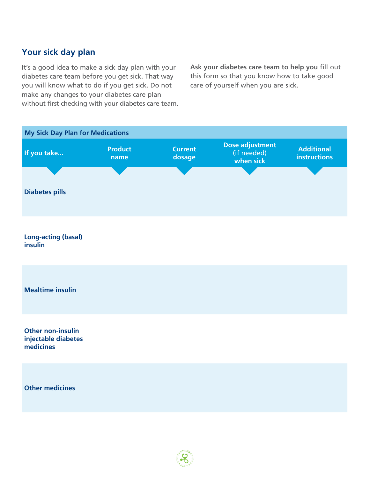### **Your sick day plan**

It's a good idea to make a sick day plan with your diabetes care team before you get sick. That way you will know what to do if you get sick. Do not make any changes to your diabetes care plan without first checking with your diabetes care team. **Ask your diabetes care team to help you** fill out this form so that you know how to take good care of yourself when you are sick.